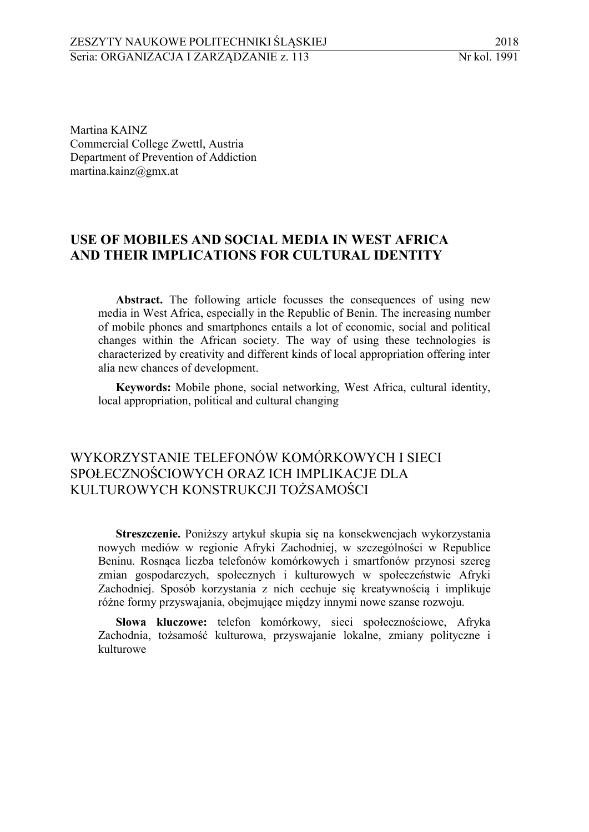Martina KAINZ 2 Commercial College Zwettl, Austria 3 Department of Prevention of Addiction martina.kainz@gmx.at

## 5 **USE OF MOBILES AND SOCIAL MEDIA IN WEST AFRICA**  6 **AND THEIR IMPLICATIONS FOR CULTURAL IDENTITY**

Abstract. The following article focusses the consequences of using new media in West Africa, especially in the Republic of Benin. The increasing number 9 of mobile phones and smartphones entails a lot of economic, social and political 10 changes within the African society. The way of using these technologies is characterized by creativity and different kinds of local appropriation offering inter alia new chances of development.

13 **Keywords:** Mobile phone, social networking, West Africa, cultural identity, local appropriation, political and cultural changing

# 15 WYKORZYSTANIE TELEFONÓW KOMÓRKOWYCH I SIECI 16 SPOŁECZNOŚCIOWYCH ORAZ ICH IMPLIKACJE DLA 17 KULTUROWYCH KONSTRUKCJI TOŻSAMOŚCI

 **Streszczenie.** Poniższy artykuł skupia się na konsekwencjach wykorzystania nowych mediów w regionie Afryki Zachodniej, w szczególności w Republice Beninu. Rosnąca liczba telefonów komórkowych i smartfonów przynosi szereg zmian gospodarczych, społecznych i kulturowych w społeczeństwie Afryki Zachodniej. Sposób korzystania z nich cechuje się kreatywnością i implikuje różne formy przyswajania, obejmujące między innymi nowe szanse rozwoju.

24 **Słowa kluczowe:** telefon komórkowy, sieci społecznościowe, Afryka Zachodnia, tożsamość kulturowa, przyswajanie lokalne, zmiany polityczne i **26 kulturowe**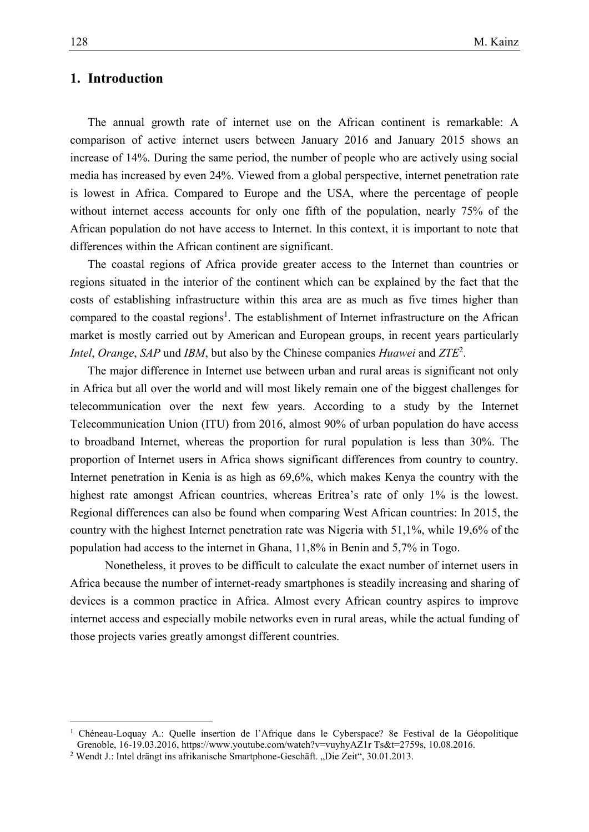## 1 **1. Introduction**

2 The annual growth rate of internet use on the African continent is remarkable: A 3 comparison of active internet users between January 2016 and January 2015 shows an increase of 14%. During the same period, the number of people who are actively using social 5 media has increased by even 24%. Viewed from a global perspective, internet penetration rate is lowest in Africa. Compared to Europe and the USA, where the percentage of people without internet access accounts for only one fifth of the population, nearly 75% of the 8 African population do not have access to Internet. In this context, it is important to note that differences within the African continent are significant.

The coastal regions of Africa provide greater access to the Internet than countries or 11 regions situated in the interior of the continent which can be explained by the fact that the costs of establishing infrastructure within this area are as much as five times higher than compared to the coastal regions<sup>1</sup>. The establishment of Internet infrastructure on the African market is mostly carried out by American and European groups, in recent years particularly *Intel, Orange, SAP* und *IBM*, but also by the Chinese companies *Huawei* and *ZTE*<sup>2</sup>.

> The major difference in Internet use between urban and rural areas is significant not only in Africa but all over the world and will most likely remain one of the biggest challenges for telecommunication over the next few years. According to a study by the Internet Telecommunication Union (ITU) from 2016, almost 90% of urban population do have access to broadband Internet, whereas the proportion for rural population is less than 30%. The proportion of Internet users in Africa shows significant differences from country to country. Internet penetration in Kenia is as high as 69,6%, which makes Kenya the country with the highest rate amongst African countries, whereas Eritrea's rate of only 1% is the lowest. Regional differences can also be found when comparing West African countries: In 2015, the country with the highest Internet penetration rate was Nigeria with 51,1%, while 19,6% of the population had access to the internet in Ghana, 11,8% in Benin and 5,7% in Togo.

> Nonetheless, it proves to be difficult to calculate the exact number of internet users in Africa because the number of internet-ready smartphones is steadily increasing and sharing of 29 devices is a common practice in Africa. Almost every African country aspires to improve internet access and especially mobile networks even in rural areas, while the actual funding of those projects varies greatly amongst different countries.

<sup>1</sup> Chéneau-Loquay A.: Quelle insertion de l'Afrique dans le Cyberspace? 8e Festival de la Géopolitique Grenoble, 16-19.03.2016, https://www.youtube.com/watch?v=vuyhyAZ1r Ts&t=2759s, 10.08.2016.

<sup>&</sup>lt;sup>2</sup> Wendt J.: Intel drängt ins afrikanische Smartphone-Geschäft. "Die Zeit", 30.01.2013.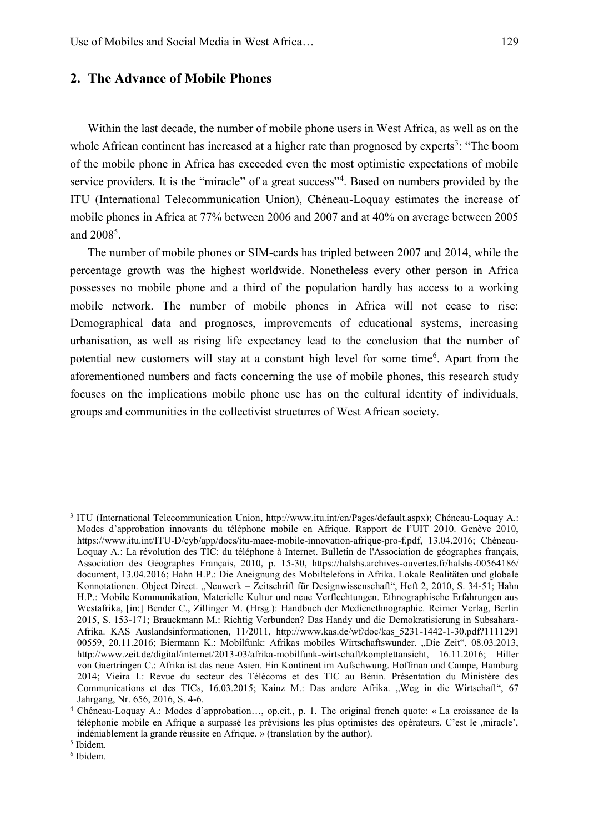#### 1 **2. The Advance of Mobile Phones**

Within the last decade, the number of mobile phone users in West Africa, as well as on the whole African continent has increased at a higher rate than prognosed by experts<sup>3</sup>: "The boom 6 of the mobile phone in Africa has exceeded even the most optimistic expectations of mobile service providers. It is the "miracle" of a great success"<sup>4</sup>. Based on numbers provided by the ITU (International Telecommunication Union), Chéneau-Loquay estimates the increase of mobile phones in Africa at 77% between 2006 and 2007 and at 40% on average between 2005 and  $2008<sup>5</sup>$ .  $and 2008<sup>5</sup>$ .

11 The number of mobile phones or SIM-cards has tripled between 2007 and 2014, while the percentage growth was the highest worldwide. Nonetheless every other person in Africa 13 possesses no mobile phone and a third of the population hardly has access to a working mobile network. The number of mobile phones in Africa will not cease to rise: Demographical data and prognoses, improvements of educational systems, increasing urbanisation, as well as rising life expectancy lead to the conclusion that the number of potential new customers will stay at a constant high level for some time<sup>6</sup>. Apart from the aforementioned numbers and facts concerning the use of mobile phones, this research study focuses on the implications mobile phone use has on the cultural identity of individuals, groups and communities in the collectivist structures of West African society.

<sup>3</sup> ITU (International Telecommunication Union, http://www.itu.int/en/Pages/default.aspx); Chéneau-Loquay A.: Modes d'approbation innovants du téléphone mobile en Afrique. Rapport de l'UIT 2010. Genève 2010, https://www.itu.int/ITU-D/cyb/app/docs/itu-maee-mobile-innovation-afrique-pro-f.pdf, 13.04.2016; Chéneau-Loquay A.: La révolution des TIC: du téléphone à Internet. Bulletin de l'Association de géographes français, Association des Géographes Français, 2010, p. 15-30, https://halshs.archives-ouvertes.fr/halshs-00564186/ document, 13.04.2016; Hahn H.P.: Die Aneignung des Mobiltelefons in Afrika. Lokale Realitäten und globale Konnotationen. Object Direct. "Neuwerk – Zeitschrift für Designwissenschaft", Heft 2, 2010, S. 34-51; Hahn H.P.: Mobile Kommunikation, Materielle Kultur und neue Verflechtungen. Ethnographische Erfahrungen aus Westafrika, [in:] Bender C., Zillinger M. (Hrsg.): Handbuch der Medienethnographie. Reimer Verlag, Berlin 2015, S. 153-171; Brauckmann M.: Richtig Verbunden? Das Handy und die Demokratisierung in Subsahara-Afrika. KAS Auslandsinformationen, 11/2011, http://www.kas.de/wf/doc/kas\_5231-1442-1-30.pdf?1111291 00559, 20.11.2016; Biermann K.: Mobilfunk: Afrikas mobiles Wirtschaftswunder. "Die Zeit", 08.03.2013, http://www.zeit.de/digital/internet/2013-03/afrika-mobilfunk-wirtschaft/komplettansicht, 16.11.2016; Hiller von Gaertringen C.: Afrika ist das neue Asien. Ein Kontinent im Aufschwung. Hoffman und Campe, Hamburg 2014; Vieira I.: Revue du secteur des Télécoms et des TIC au Bénin. Présentation du Ministère des Communications et des TICs, 16.03.2015; Kainz M.: Das andere Afrika. "Weg in die Wirtschaft", 67 Jahrgang, Nr. 656, 2016, S. 4-6.

<sup>4</sup> Chéneau-Loquay A.: Modes d'approbation…, op.cit., p. 1. The original french quote: « La croissance de la téléphonie mobile en Afrique a surpassé les prévisions les plus optimistes des opérateurs. C'est le ,miracle', indéniablement la grande réussite en Afrique. » (translation by the author).

<sup>5</sup> Ibidem.

<sup>6</sup> Ibidem.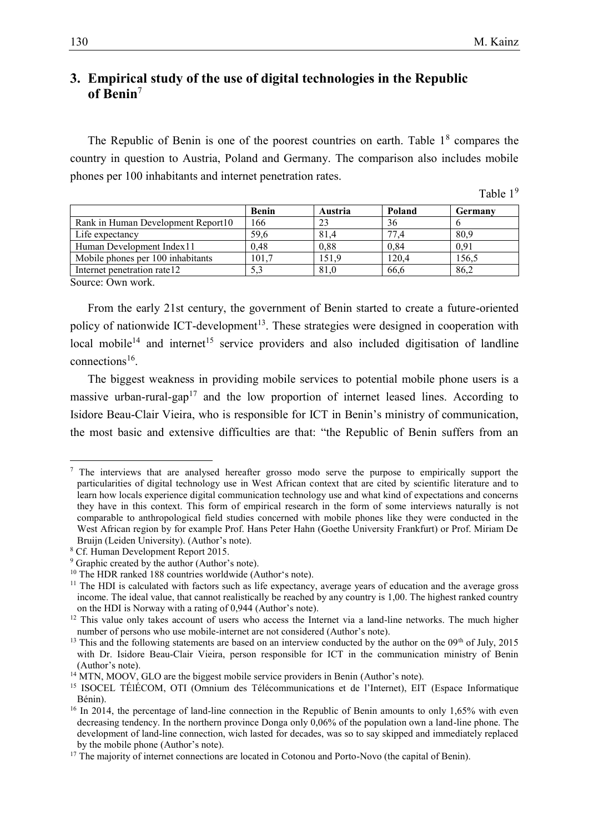## 1 **3. Empirical study of the use of digital technologies in the Republic of Benin** 7

The Republic of Benin is one of the poorest countries on earth. Table  $1<sup>8</sup>$  compares the 6 country in question to Austria, Poland and Germany. The comparison also includes mobile phones per 100 inhabitants and internet penetration rates.

Table  $1<sup>9</sup>$ 

|                                    | <b>Benin</b> | Austria | Poland | <b>Germany</b> |
|------------------------------------|--------------|---------|--------|----------------|
| Rank in Human Development Report10 | .66          | 23      | 36     |                |
| Life expectancy                    | 59,6         | 81,4    | 77.4   | 80,9           |
| Human Development Index 11         | 0.48         | 0.88    | 0.84   | 0.91           |
| Mobile phones per 100 inhabitants  | 101.7        | 151.9   | 120.4  | 156.5          |
| Internet penetration rate 12       | 5.3          | 81,0    | 66.6   | 86,2           |

Source: Own work.

 $\overline{a}$ 

From the early 21st century, the government of Benin started to create a future-oriented policy of nationwide ICT-development<sup>13</sup>. These strategies were designed in cooperation with local mobile<sup>14</sup> and internet<sup>15</sup> service providers and also included digitisation of landline connections<sup>16</sup>.

The biggest weakness in providing mobile services to potential mobile phone users is a massive urban-rural-gap<sup>17</sup> and the low proportion of internet leased lines. According to 17 Isidore Beau-Clair Vieira, who is responsible for ICT in Benin's ministry of communication, the most basic and extensive difficulties are that: "the Republic of Benin suffers from an

<sup>&</sup>lt;sup>7</sup> The interviews that are analysed hereafter grosso modo serve the purpose to empirically support the particularities of digital technology use in West African context that are cited by scientific literature and to learn how locals experience digital communication technology use and what kind of expectations and concerns they have in this context. This form of empirical research in the form of some interviews naturally is not comparable to anthropological field studies concerned with mobile phones like they were conducted in the West African region by for example Prof. Hans Peter Hahn (Goethe University Frankfurt) or Prof. Miriam De Bruijn (Leiden University). (Author's note).

<sup>8</sup> Cf. Human Development Report 2015.

<sup>&</sup>lt;sup>9</sup> Graphic created by the author (Author's note).

<sup>&</sup>lt;sup>10</sup> The HDR ranked 188 countries worldwide (Author's note).

<sup>&</sup>lt;sup>11</sup> The HDI is calculated with factors such as life expectancy, average years of education and the average gross income. The ideal value, that cannot realistically be reached by any country is 1,00. The highest ranked country on the HDI is Norway with a rating of 0,944 (Author's note).

<sup>&</sup>lt;sup>12</sup> This value only takes account of users who access the Internet via a land-line networks. The much higher number of persons who use mobile-internet are not considered (Author's note).

 $13$  This and the following statements are based on an interview conducted by the author on the 09<sup>th</sup> of July, 2015 with Dr. Isidore Beau-Clair Vieira, person responsible for ICT in the communication ministry of Benin (Author's note).

<sup>&</sup>lt;sup>14</sup> MTN, MOOV, GLO are the biggest mobile service providers in Benin (Author's note).

<sup>15</sup> ISOCEL TÉlÉCOM, OTI (Omnium des Télécommunications et de l'Internet), EIT (Espace Informatique Bénin).

<sup>&</sup>lt;sup>16</sup> In 2014, the percentage of land-line connection in the Republic of Benin amounts to only 1,65% with even decreasing tendency. In the northern province Donga only 0,06% of the population own a land-line phone. The development of land-line connection, wich lasted for decades, was so to say skipped and immediately replaced by the mobile phone (Author's note).

<sup>&</sup>lt;sup>17</sup> The majority of internet connections are located in Cotonou and Porto-Novo (the capital of Benin).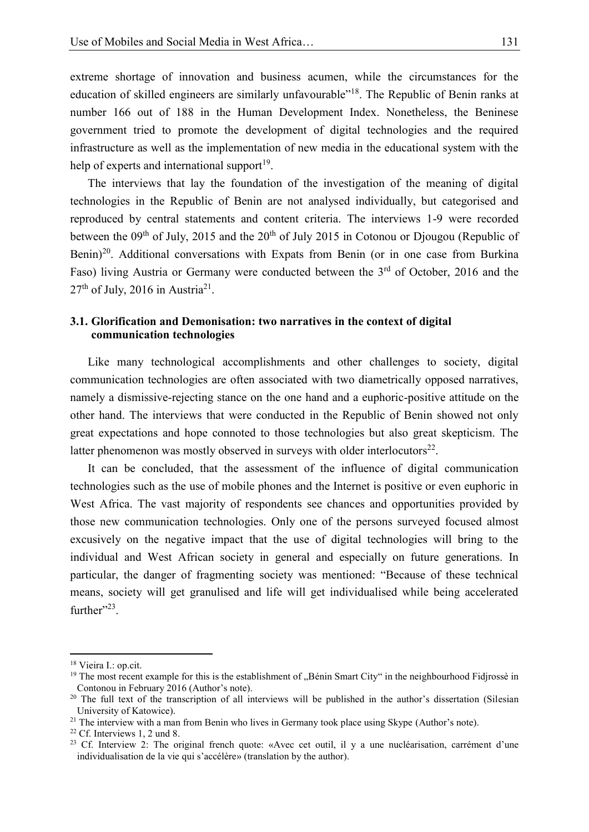extreme shortage of innovation and business acumen, while the circumstances for the education of skilled engineers are similarly unfavourable"<sup>18</sup>. The Republic of Benin ranks at number 166 out of 188 in the Human Development Index. Nonetheless, the Beninese 4 government tried to promote the development of digital technologies and the required 5 infrastructure as well as the implementation of new media in the educational system with the help of experts and international support<sup>19</sup>.

The interviews that lay the foundation of the investigation of the meaning of digital 8 technologies in the Republic of Benin are not analysed individually, but categorised and 9 reproduced by central statements and content criteria. The interviews 1-9 were recorded between the  $09<sup>th</sup>$  of July, 2015 and the  $20<sup>th</sup>$  of July 2015 in Cotonou or Djougou (Republic of Benin)<sup>20</sup>. Additional conversations with Expats from Benin (or in one case from Burkina Faso) living Austria or Germany were conducted between the  $3<sup>rd</sup>$  of October, 2016 and the  $27<sup>th</sup>$  of July, 2016 in Austria<sup>21</sup>.

### 15 **3.1. Glorification and Demonisation: two narratives in the context of digital**  16 **communication technologies**

Like many technological accomplishments and other challenges to society, digital communication technologies are often associated with two diametrically opposed narratives, namely a dismissive-rejecting stance on the one hand and a euphoric-positive attitude on the 21 other hand. The interviews that were conducted in the Republic of Benin showed not only great expectations and hope connoted to those technologies but also great skepticism. The latter phenomenon was mostly observed in surveys with older interlocutors $^{22}$ .

It can be concluded, that the assessment of the influence of digital communication 25 technologies such as the use of mobile phones and the Internet is positive or even euphoric in West Africa. The vast majority of respondents see chances and opportunities provided by those new communication technologies. Only one of the persons surveyed focused almost excusively on the negative impact that the use of digital technologies will bring to the 29 individual and West African society in general and especially on future generations. In particular, the danger of fragmenting society was mentioned: "Because of these technical means, society will get granulised and life will get individualised while being accelerated further" $23$ .

<sup>18</sup> Vieira I.: op.cit.

<sup>&</sup>lt;sup>19</sup> The most recent example for this is the establishment of "Bénin Smart City" in the neighbourhood Fidjrossè in Contonou in February 2016 (Author's note).

<sup>&</sup>lt;sup>20</sup> The full text of the transcription of all interviews will be published in the author's dissertation (Silesian University of Katowice).

<sup>&</sup>lt;sup>21</sup> The interview with a man from Benin who lives in Germany took place using Skype (Author's note).

<sup>22</sup> Cf. Interviews 1, 2 und 8.

<sup>&</sup>lt;sup>23</sup> Cf. Interview 2: The original french quote: «Avec cet outil, il y a une nucléarisation, carrément d'une individualisation de la vie qui s'accélère» (translation by the author).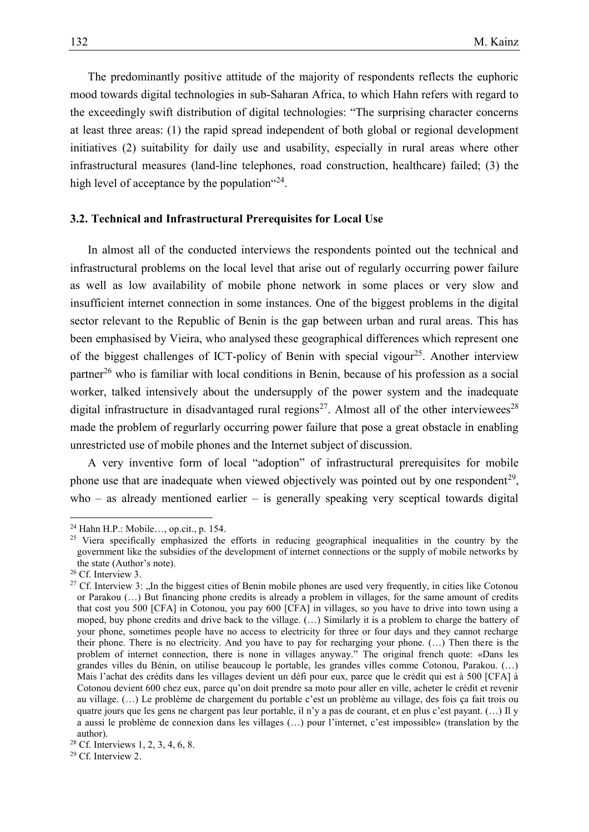1 The predominantly positive attitude of the majority of respondents reflects the euphoric mood towards digital technologies in sub-Saharan Africa, to which Hahn refers with regard to 3 the exceedingly swift distribution of digital technologies: "The surprising character concerns at least three areas: (1) the rapid spread independent of both global or regional development initiatives (2) suitability for daily use and usability, especially in rural areas where other infrastructural measures (land-line telephones, road construction, healthcare) failed; (3) the high level of acceptance by the population  $24$ .

#### 9 **3.2. Technical and Infrastructural Prerequisites for Local Use**

In almost all of the conducted interviews the respondents pointed out the technical and infrastructural problems on the local level that arise out of regularly occurring power failure as well as low availability of mobile phone network in some places or very slow and insufficient internet connection in some instances. One of the biggest problems in the digital 15 sector relevant to the Republic of Benin is the gap between urban and rural areas. This has been emphasised by Vieira, who analysed these geographical differences which represent one of the biggest challenges of ICT-policy of Benin with special vigour<sup>25</sup>. Another interview partner<sup>26</sup> who is familiar with local conditions in Benin, because of his profession as a social worker, talked intensively about the undersupply of the power system and the inadequate digital infrastructure in disadvantaged rural regions<sup>27</sup>. Almost all of the other interviewees<sup>28</sup> made the problem of regurlarly occurring power failure that pose a great obstacle in enabling 22 unrestricted use of mobile phones and the Internet subject of discussion.

> 23 A very inventive form of local "adoption" of infrastructural prerequisites for mobile phone use that are inadequate when viewed objectively was pointed out by one respondent<sup>29</sup>,  $who$  – as already mentioned earlier – is generally speaking very sceptical towards digital

<sup>24</sup> Hahn H.P.: Mobile…, op.cit., p. 154.

<sup>&</sup>lt;sup>25</sup> Viera specifically emphasized the efforts in reducing geographical inequalities in the country by the government like the subsidies of the development of internet connections or the supply of mobile networks by the state (Author's note).

<sup>&</sup>lt;sup>26</sup> Cf. Interview 3.

<sup>&</sup>lt;sup>27</sup> Cf. Interview 3: "In the biggest cities of Benin mobile phones are used very frequently, in cities like Cotonou or Parakou (…) But financing phone credits is already a problem in villages, for the same amount of credits that cost you 500 [CFA] in Cotonou, you pay 600 [CFA] in villages, so you have to drive into town using a moped, buy phone credits and drive back to the village. (…) Similarly it is a problem to charge the battery of your phone, sometimes people have no access to electricity for three or four days and they cannot recharge their phone. There is no electricity. And you have to pay for recharging your phone. (…) Then there is the problem of internet connection, there is none in villages anyway." The original french quote: «Dans les grandes villes du Bénin, on utilise beaucoup le portable, les grandes villes comme Cotonou, Parakou. (…) Mais l'achat des crédits dans les villages devient un défi pour eux, parce que le crédit qui est à 500 [CFA] à Cotonou devient 600 chez eux, parce qu'on doit prendre sa moto pour aller en ville, acheter le crédit et revenir au village. (…) Le problème de chargement du portable c'est un problème au village, des fois ça fait trois ou quatre jours que les gens ne chargent pas leur portable, il n'y a pas de courant, et en plus c'est payant. (…) Il y a aussi le problème de connexion dans les villages (…) pour l'internet, c'est impossible» (translation by the author).

<sup>28</sup> Cf. Interviews 1, 2, 3, 4, 6, 8.

<sup>29</sup> Cf. Interview 2.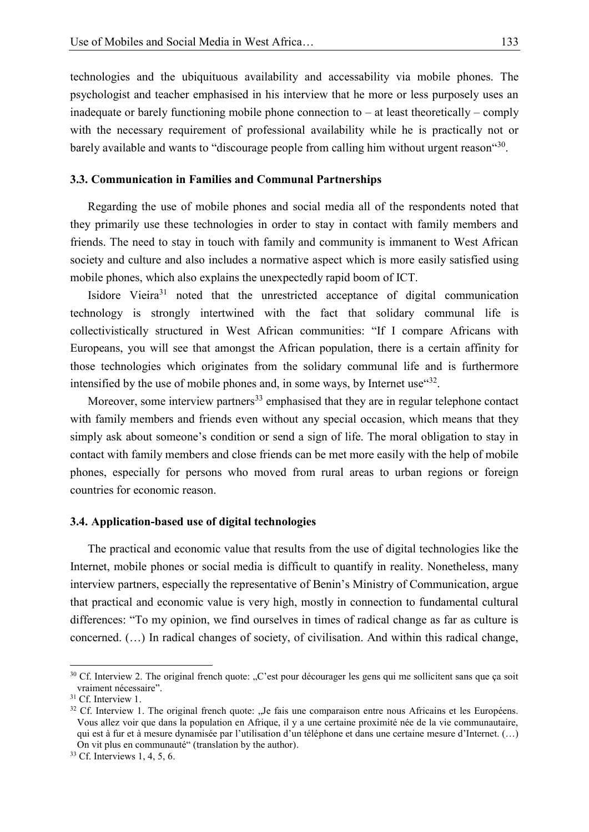1 technologies and the ubiquituous availability and accessability via mobile phones. The 2 psychologist and teacher emphasised in his interview that he more or less purposely uses an inadequate or barely functioning mobile phone connection to – at least theoretically – comply with the necessary requirement of professional availability while he is practically not or barely available and wants to "discourage people from calling him without urgent reason"<sup>30</sup>.

### 7 **3.3. Communication in Families and Communal Partnerships**

Regarding the use of mobile phones and social media all of the respondents noted that 10 they primarily use these technologies in order to stay in contact with family members and friends. The need to stay in touch with family and community is immanent to West African society and culture and also includes a normative aspect which is more easily satisfied using mobile phones, which also explains the unexpectedly rapid boom of ICT.

Isidore Vieira $31$  noted that the unrestricted acceptance of digital communication 15 technology is strongly intertwined with the fact that solidary communal life is 16 collectivistically structured in West African communities: "If I compare Africans with Europeans, you will see that amongst the African population, there is a certain affinity for those technologies which originates from the solidary communal life and is furthermore intensified by the use of mobile phones and, in some ways, by Internet use  $432$ .

Moreover, some interview partners<sup>33</sup> emphasised that they are in regular telephone contact with family members and friends even without any special occasion, which means that they simply ask about someone's condition or send a sign of life. The moral obligation to stay in 23 contact with family members and close friends can be met more easily with the help of mobile phones, especially for persons who moved from rural areas to urban regions or foreign countries for economic reason.

#### 27 **3.4. Application-based use of digital technologies**

29 The practical and economic value that results from the use of digital technologies like the Internet, mobile phones or social media is difficult to quantify in reality. Nonetheless, many 31 interview partners, especially the representative of Benin's Ministry of Communication, argue that practical and economic value is very high, mostly in connection to fundamental cultural differences: "To my opinion, we find ourselves in times of radical change as far as culture is 34 concerned. (…) In radical changes of society, of civilisation. And within this radical change,

 $30$  Cf. Interview 2. The original french quote: "C'est pour décourager les gens qui me sollicitent sans que ça soit vraiment nécessaire".

<sup>&</sup>lt;sup>31</sup> Cf. Interview 1.

<sup>&</sup>lt;sup>32</sup> Cf. Interview 1. The original french quote: "Je fais une comparaison entre nous Africains et les Européens. Vous allez voir que dans la population en Afrique, il y a une certaine proximité née de la vie communautaire, qui est à fur et à mesure dynamisée par l'utilisation d'un téléphone et dans une certaine mesure d'Internet. (…) On vit plus en communauté" (translation by the author).

<sup>33</sup> Cf. Interviews 1, 4, 5, 6.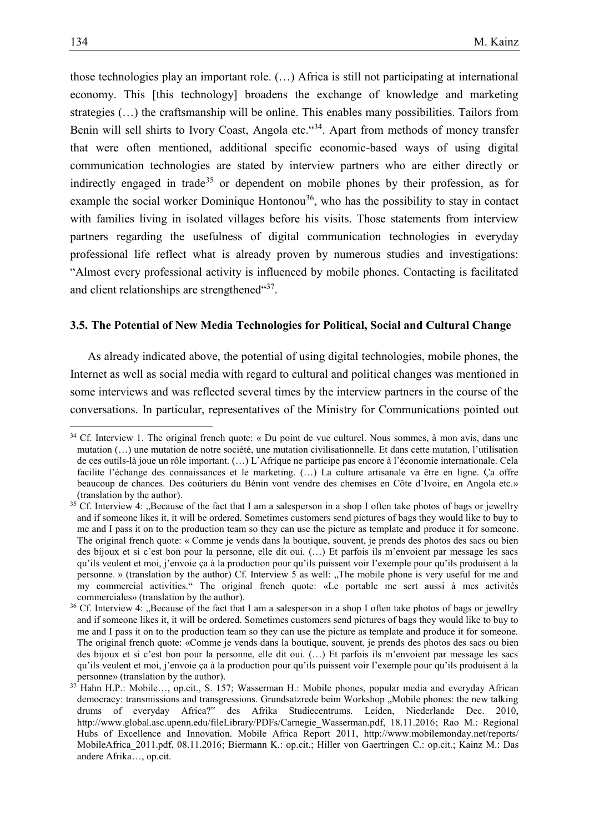those technologies play an important role.  $(...)$  Africa is still not participating at international 2 economy. This [this technology] broadens the exchange of knowledge and marketing strategies (...) the craftsmanship will be online. This enables many possibilities. Tailors from Benin will sell shirts to Ivory Coast, Angola etc.  $434$ . Apart from methods of money transfer 5 that were often mentioned, additional specific economic-based ways of using digital 6 communication technologies are stated by interview partners who are either directly or indirectly engaged in trade<sup>35</sup> or dependent on mobile phones by their profession, as for example the social worker Dominique Hontonou<sup>36</sup>, who has the possibility to stay in contact with families living in isolated villages before his visits. Those statements from interview partners regarding the usefulness of digital communication technologies in everyday professional life reflect what is already proven by numerous studies and investigations: 12 "Almost every professional activity is influenced by mobile phones. Contacting is facilitated and client relationships are strengthened $4437$ .

#### 15 **3.5. The Potential of New Media Technologies for Political, Social and Cultural Change**

As already indicated above, the potential of using digital technologies, mobile phones, the 18 Internet as well as social media with regard to cultural and political changes was mentioned in some interviews and was reflected several times by the interview partners in the course of the 20 conversations. In particular, representatives of the Ministry for Communications pointed out

<sup>&</sup>lt;sup>34</sup> Cf. Interview 1. The original french quote: « Du point de vue culturel. Nous sommes, à mon avis, dans une mutation (…) une mutation de notre société, une mutation civilisationnelle. Et dans cette mutation, l'utilisation de ces outils-là joue un rôle important. (…) L'Afrique ne participe pas encore à l'économie internationale. Cela facilite l'échange des connaissances et le marketing. (…) La culture artisanale va être en ligne. Ça offre beaucoup de chances. Des coûturiers du Bénin vont vendre des chemises en Côte d'Ivoire, en Angola etc.» (translation by the author).

 $35$  Cf. Interview 4: "Because of the fact that I am a salesperson in a shop I often take photos of bags or jewellry and if someone likes it, it will be ordered. Sometimes customers send pictures of bags they would like to buy to me and I pass it on to the production team so they can use the picture as template and produce it for someone. The original french quote: « Comme je vends dans la boutique, souvent, je prends des photos des sacs ou bien des bijoux et si c'est bon pour la personne, elle dit oui. (…) Et parfois ils m'envoient par message les sacs qu'ils veulent et moi, j'envoie ça à la production pour qu'ils puissent voir l'exemple pour qu'ils produisent à la personne. » (translation by the author) Cf. Interview 5 as well: "The mobile phone is very useful for me and my commercial activities." The original french quote: «Le portable me sert aussi à mes activités commerciales» (translation by the author).

<sup>&</sup>lt;sup>36</sup> Cf. Interview 4: "Because of the fact that I am a salesperson in a shop I often take photos of bags or jewellry and if someone likes it, it will be ordered. Sometimes customers send pictures of bags they would like to buy to me and I pass it on to the production team so they can use the picture as template and produce it for someone. The original french quote: «Comme je vends dans la boutique, souvent, je prends des photos des sacs ou bien des bijoux et si c'est bon pour la personne, elle dit oui. (…) Et parfois ils m'envoient par message les sacs qu'ils veulent et moi, j'envoie ça à la production pour qu'ils puissent voir l'exemple pour qu'ils produisent à la personne» (translation by the author).

 $37$  Hahn H.P.: Mobile..., op.cit., S. 157; Wasserman H.: Mobile phones, popular media and everyday African democracy: transmissions and transgressions. Grundsatzrede beim Workshop "Mobile phones: the new talking drums of everyday Africa?" des Afrika Studiecentrums. Leiden, Niederlande Dec. 2010, http://www.global.asc.upenn.edu/fileLibrary/PDFs/Carnegie\_Wasserman.pdf, 18.11.2016; Rao M.: Regional Hubs of Excellence and Innovation. Mobile Africa Report 2011, http://www.mobilemonday.net/reports/ MobileAfrica\_2011.pdf, 08.11.2016; Biermann K.: op.cit.; Hiller von Gaertringen C.: op.cit.; Kainz M.: Das andere Afrika…, op.cit.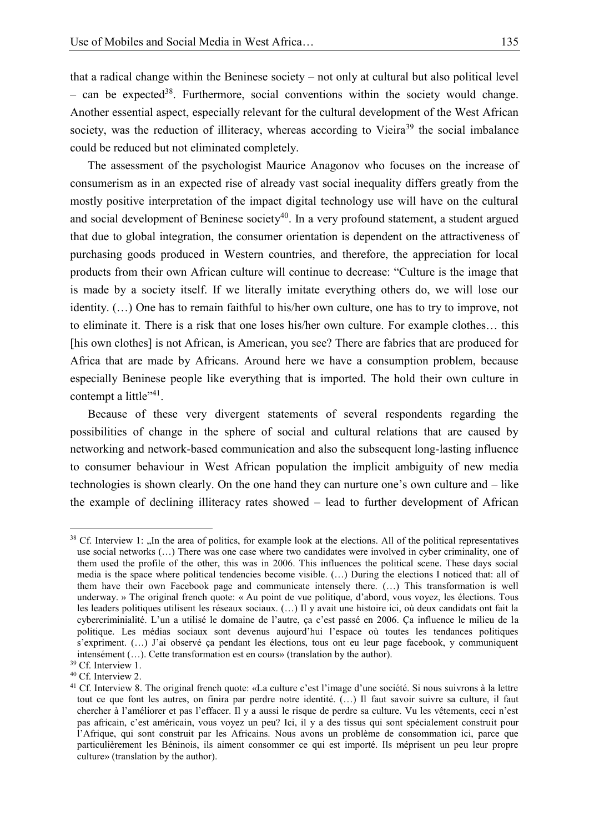that a radical change within the Beninese society – not only at cultural but also political level – can be expected<sup>38</sup>. Furthermore, social conventions within the society would change. 3 Another essential aspect, especially relevant for the cultural development of the West African society, was the reduction of illiteracy, whereas according to Vieira<sup>39</sup> the social imbalance 5 could be reduced but not eliminated completely.

The assessment of the psychologist Maurice Anagonov who focuses on the increase of 7 consumerism as in an expected rise of already vast social inequality differs greatly from the mostly positive interpretation of the impact digital technology use will have on the cultural and social development of Beninese society<sup>40</sup>. In a very profound statement, a student argued that due to global integration, the consumer orientation is dependent on the attractiveness of purchasing goods produced in Western countries, and therefore, the appreciation for local 12 products from their own African culture will continue to decrease: "Culture is the image that is made by a society itself. If we literally imitate everything others do, we will lose our identity.  $(...)$  One has to remain faithful to his/her own culture, one has to try to improve, not to eliminate it. There is a risk that one loses his/her own culture. For example clothes... this [his own clothes] is not African, is American, you see? There are fabrics that are produced for Africa that are made by Africans. Around here we have a consumption problem, because especially Beninese people like everything that is imported. The hold their own culture in contempt a little" $4<sup>1</sup>$ .

Because of these very divergent statements of several respondents regarding the 21 possibilities of change in the sphere of social and cultural relations that are caused by networking and network-based communication and also the subsequent long-lasting influence 23 to consumer behaviour in West African population the implicit ambiguity of new media  $\alpha$  technologies is shown clearly. On the one hand they can nurture one's own culture and  $-\text{like}$ 25 the example of declining illiteracy rates showed – lead to further development of African

 $38$  Cf. Interview 1: "In the area of politics, for example look at the elections. All of the political representatives use social networks (…) There was one case where two candidates were involved in cyber criminality, one of them used the profile of the other, this was in 2006. This influences the political scene. These days social media is the space where political tendencies become visible. (…) During the elections I noticed that: all of them have their own Facebook page and communicate intensely there. (…) This transformation is well underway. » The original french quote: « Au point de vue politique, d'abord, vous voyez, les élections. Tous les leaders politiques utilisent les réseaux sociaux. (…) Il y avait une histoire ici, où deux candidats ont fait la cybercriminialité. L'un a utilisé le domaine de l'autre, ça c'est passé en 2006. Ça influence le milieu de la politique. Les médias sociaux sont devenus aujourd'hui l'espace où toutes les tendances politiques s'expriment.  $(...)$  J'ai observé ça pendant les élections, tous ont eu leur page facebook, y communiquent intensément (…). Cette transformation est en cours» (translation by the author).

<sup>39</sup> Cf. Interview 1.

<sup>40</sup> Cf. Interview 2.

<sup>41</sup> Cf. Interview 8. The original french quote: «La culture c'est l'image d'une société. Si nous suivrons à la lettre tout ce que font les autres, on finira par perdre notre identité. (…) Il faut savoir suivre sa culture, il faut chercher à l'améliorer et pas l'effacer. Il y a aussi le risque de perdre sa culture. Vu les vêtements, ceci n'est pas africain, c'est américain, vous voyez un peu? Ici, il y a des tissus qui sont spécialement construit pour l'Afrique, qui sont construit par les Africains. Nous avons un problème de consommation ici, parce que particulièrement les Béninois, ils aiment consommer ce qui est importé. Ils méprisent un peu leur propre culture» (translation by the author).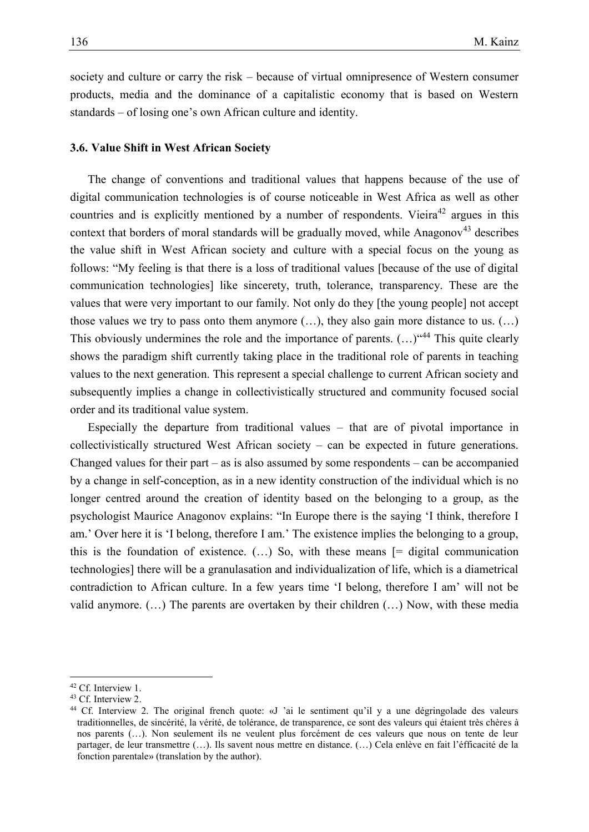1 society and culture or carry the risk – because of virtual omnipresence of Western consumer 2 products, media and the dominance of a capitalistic economy that is based on Western standards – of losing one's own African culture and identity.

#### 5 **3.6. Value Shift in West African Society**

7 The change of conventions and traditional values that happens because of the use of digital communication technologies is of course noticeable in West Africa as well as other countries and is explicitly mentioned by a number of respondents. Vieira<sup>42</sup> argues in this context that borders of moral standards will be gradually moved, while Anagonov<sup>43</sup> describes the value shift in West African society and culture with a special focus on the young as follows: "My feeling is that there is a loss of traditional values [because of the use of digital communication technologies] like sincerety, truth, tolerance, transparency. These are the values that were very important to our family. Not only do they [the young people] not accept those values we try to pass onto them anymore  $(...)$ , they also gain more distance to us.  $(...)$ This obviously undermines the role and the importance of parents.  $(...)$  "<sup>44</sup> This quite clearly shows the paradigm shift currently taking place in the traditional role of parents in teaching values to the next generation. This represent a special challenge to current African society and subsequently implies a change in collectivistically structured and community focused social order and its traditional value system.

> Especially the departure from traditional values  $-$  that are of pivotal importance in  $22$  collectivistically structured West African society – can be expected in future generations. Changed values for their part – as is also assumed by some respondents – can be accompanied by a change in self-conception, as in a new identity construction of the individual which is no longer centred around the creation of identity based on the belonging to a group, as the 26 psychologist Maurice Anagonov explains: "In Europe there is the saying 'I think, therefore I am.' Over here it is 'I belong, therefore I am.' The existence implies the belonging to a group, this is the foundation of existence.  $($ ...) So, with these means  $[$  = digital communication 29 technologies] there will be a granulasation and individualization of life, which is a diametrical 30 contradiction to African culture. In a few years time 'I belong, therefore I am' will not be valid anymore.  $(...)$  The parents are overtaken by their children  $(...)$  Now, with these media

<sup>&</sup>lt;sup>42</sup> Cf. Interview 1.

<sup>43</sup> Cf. Interview 2.

<sup>44</sup> Cf. Interview 2. The original french quote: «J 'ai le sentiment qu'il y a une dégringolade des valeurs traditionnelles, de sincérité, la vérité, de tolérance, de transparence, ce sont des valeurs qui étaient très chères à nos parents (…). Non seulement ils ne veulent plus forcément de ces valeurs que nous on tente de leur partager, de leur transmettre (…). Ils savent nous mettre en distance. (…) Cela enlève en fait l'éfficacité de la fonction parentale» (translation by the author).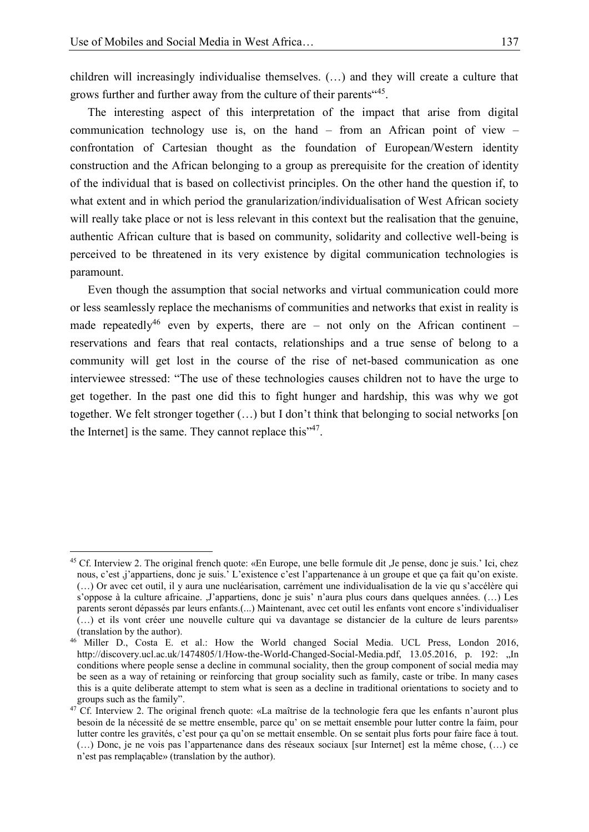$\overline{a}$ 

1 children will increasingly individualise themselves. (…) and they will create a culture that grows further and further away from the culture of their parents<sup>"45</sup>.

The interesting aspect of this interpretation of the impact that arise from digital communication technology use is, on the hand  $-$  from an African point of view  $-$ 5 confrontation of Cartesian thought as the foundation of European/Western identity 6 construction and the African belonging to a group as prerequisite for the creation of identity 7 of the individual that is based on collectivist principles. On the other hand the question if, to what extent and in which period the granularization/individualisation of West African society will really take place or not is less relevant in this context but the realisation that the genuine, authentic African culture that is based on community, solidarity and collective well-being is perceived to be threatened in its very existence by digital communication technologies is paramount.

Even though the assumption that social networks and virtual communication could more or less seamlessly replace the mechanisms of communities and networks that exist in reality is made repeatedly<sup>46</sup> even by experts, there are – not only on the African continent – 16 reservations and fears that real contacts, relationships and a true sense of belong to a community will get lost in the course of the rise of net-based communication as one interviewee stressed: "The use of these technologies causes children not to have the urge to 19 get together. In the past one did this to fight hunger and hardship, this was why we got together. We felt stronger together  $(...)$  but I don't think that belonging to social networks [on the Internet] is the same. They cannot replace this  $147$ .

<sup>45</sup> Cf. Interview 2. The original french quote: «En Europe, une belle formule dit ,Je pense, donc je suis.' Ici, chez nous, c'est ,j'appartiens, donc je suis.' L'existence c'est l'appartenance à un groupe et que ça fait qu'on existe. (…) Or avec cet outil, il y aura une nucléarisation, carrément une individualisation de la vie qu s'accélère qui s'oppose à la culture africaine. ,J'appartiens, donc je suis' n'aura plus cours dans quelques années. (…) Les parents seront dépassés par leurs enfants.(...) Maintenant, avec cet outil les enfants vont encore s'individualiser (…) et ils vont créer une nouvelle culture qui va davantage se distancier de la culture de leurs parents» (translation by the author).

<sup>46</sup> Miller D., Costa E. et al.: How the World changed Social Media. UCL Press, London 2016, http://discovery.ucl.ac.uk/1474805/1/How-the-World-Changed-Social-Media.pdf, 13.05.2016, p. 192: "In conditions where people sense a decline in communal sociality, then the group component of social media may be seen as a way of retaining or reinforcing that group sociality such as family, caste or tribe. In many cases this is a quite deliberate attempt to stem what is seen as a decline in traditional orientations to society and to groups such as the family".

<sup>&</sup>lt;sup>47</sup> Cf. Interview 2. The original french quote: «La maîtrise de la technologie fera que les enfants n'auront plus besoin de la nécessité de se mettre ensemble, parce qu' on se mettait ensemble pour lutter contre la faim, pour lutter contre les gravités, c'est pour ça qu'on se mettait ensemble. On se sentait plus forts pour faire face à tout. (…) Donc, je ne vois pas l'appartenance dans des réseaux sociaux [sur Internet] est la même chose, (…) ce n'est pas remplaçable» (translation by the author).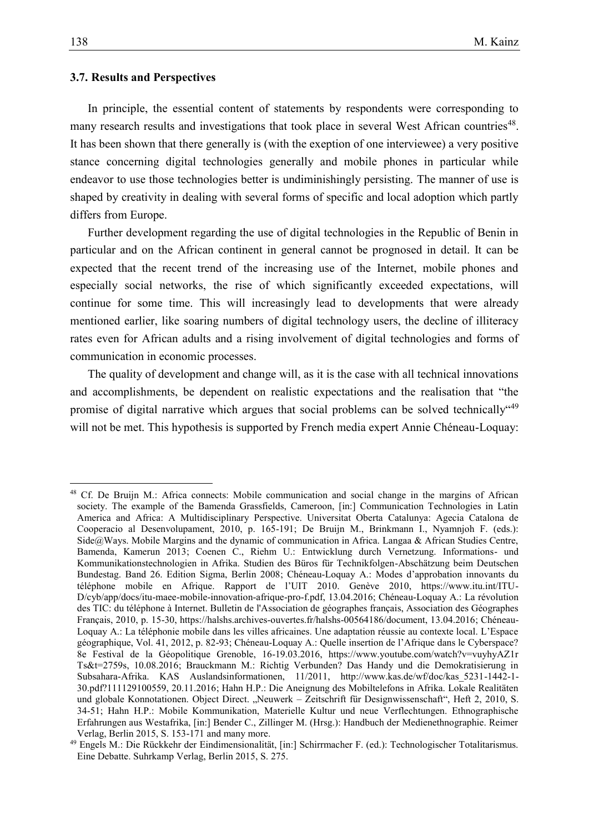#### 1 **3.7. Results and Perspectives**

In principle, the essential content of statements by respondents were corresponding to many research results and investigations that took place in several West African countries<sup>48</sup>. It has been shown that there generally is (with the exeption of one interviewee) a very positive stance concerning digital technologies generally and mobile phones in particular while 7 endeavor to use those technologies better is undiminishingly persisting. The manner of use is shaped by creativity in dealing with several forms of specific and local adoption which partly differs from Europe.

10 Further development regarding the use of digital technologies in the Republic of Benin in particular and on the African continent in general cannot be prognosed in detail. It can be expected that the recent trend of the increasing use of the Internet, mobile phones and especially social networks, the rise of which significantly exceeded expectations, will continue for some time. This will increasingly lead to developments that were already mentioned earlier, like soaring numbers of digital technology users, the decline of illiteracy rates even for African adults and a rising involvement of digital technologies and forms of communication in economic processes.

The quality of development and change will, as it is the case with all technical innovations and accomplishments, be dependent on realistic expectations and the realisation that "the promise of digital narrative which argues that social problems can be solved technically"<sup>49</sup> 21 will not be met. This hypothesis is supported by French media expert Annie Chéneau-Loquay:

<sup>48</sup> Cf. De Bruijn M.: Africa connects: Mobile communication and social change in the margins of African society. The example of the Bamenda Grassfields, Cameroon, [in:] Communication Technologies in Latin America and Africa: A Multidisciplinary Perspective. Universitat Oberta Catalunya: Agecia Catalona de Cooperacio al Desenvolupament, 2010, p. 165-191; De Bruijn M., Brinkmann I., Nyamnjoh F. (eds.): Side@Ways. Mobile Margins and the dynamic of communication in Africa. Langaa & African Studies Centre, Bamenda, Kamerun 2013; Coenen C., Riehm U.: Entwicklung durch Vernetzung. Informations- und Kommunikationstechnologien in Afrika. Studien des Büros für Technikfolgen-Abschätzung beim Deutschen Bundestag. Band 26. Edition Sigma, Berlin 2008; Chéneau-Loquay A.: Modes d'approbation innovants du téléphone mobile en Afrique. Rapport de l'UIT 2010. Genève 2010, https://www.itu.int/ITU-D/cyb/app/docs/itu-maee-mobile-innovation-afrique-pro-f.pdf, 13.04.2016; Chéneau-Loquay A.: La révolution des TIC: du téléphone à Internet. Bulletin de l'Association de géographes français, Association des Géographes Français, 2010, p. 15-30, https://halshs.archives-ouvertes.fr/halshs-00564186/document, 13.04.2016; Chéneau-Loquay A.: La téléphonie mobile dans les villes africaines. Une adaptation réussie au contexte local. L'Espace géographique, Vol. 41, 2012, p. 82-93; Chéneau-Loquay A.: Quelle insertion de l'Afrique dans le Cyberspace? 8e Festival de la Géopolitique Grenoble, 16-19.03.2016, https://www.youtube.com/watch?v=vuyhyAZ1r Ts&t=2759s, 10.08.2016; Brauckmann M.: Richtig Verbunden? Das Handy und die Demokratisierung in Subsahara-Afrika. KAS Auslandsinformationen, 11/2011, http://www.kas.de/wf/doc/kas\_5231-1442-1- 30.pdf?111129100559, 20.11.2016; Hahn H.P.: Die Aneignung des Mobiltelefons in Afrika. Lokale Realitäten und globale Konnotationen. Object Direct. "Neuwerk – Zeitschrift für Designwissenschaft", Heft 2, 2010, S. 34-51; Hahn H.P.: Mobile Kommunikation, Materielle Kultur und neue Verflechtungen. Ethnographische Erfahrungen aus Westafrika, [in:] Bender C., Zillinger M. (Hrsg.): Handbuch der Medienethnographie. Reimer Verlag, Berlin 2015, S. 153-171 and many more.

<sup>49</sup> Engels M.: Die Rückkehr der Eindimensionalität, [in:] Schirrmacher F. (ed.): Technologischer Totalitarismus. Eine Debatte. Suhrkamp Verlag, Berlin 2015, S. 275.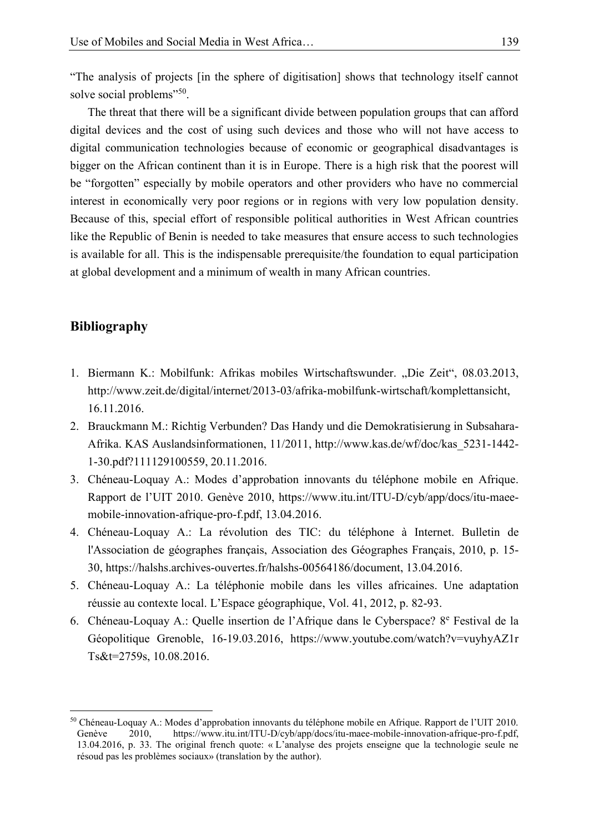"The analysis of projects [in the sphere of digitisation] shows that technology itself cannot solve social problems"<sup>50</sup>.

The threat that there will be a significant divide between population groups that can afford digital devices and the cost of using such devices and those who will not have access to 5 digital communication technologies because of economic or geographical disadvantages is bigger on the African continent than it is in Europe. There is a high risk that the poorest will be "forgotten" especially by mobile operators and other providers who have no commercial interest in economically very poor regions or in regions with very low population density. Because of this, special effort of responsible political authorities in West African countries like the Republic of Benin is needed to take measures that ensure access to such technologies is available for all. This is the indispensable prerequisite/the foundation to equal participation at global development and a minimum of wealth in many African countries.

## 15 **Bibliography**

- 1. Biermann K.: Mobilfunk: Afrikas mobiles Wirtschaftswunder. "Die Zeit", 08.03.2013, 19 http://www.zeit.de/digital/internet/2013-03/afrika-mobilfunk-wirtschaft/komplettansicht, 20 16.11.2016.
- 21 2. Brauckmann M.: Richtig Verbunden? Das Handy und die Demokratisierung in Subsahara-22 Afrika. KAS Auslandsinformationen, 11/2011, http://www.kas.de/wf/doc/kas\_5231-1442- 23 1-30.pdf?111129100559, 20.11.2016.
- 24 3. Chéneau-Loquay A.: Modes d'approbation innovants du téléphone mobile en Afrique. 25 Rapport de l'UIT 2010. Genève 2010, https://www.itu.int/ITU-D/cyb/app/docs/itu-maeemobile-innovation-afrique-pro-f.pdf, 13.04.2016.
- 27 4. Chéneau-Loquay A.: La révolution des TIC: du téléphone à Internet. Bulletin de l'Association de géographes français, Association des Géographes Français, 2010, p. 15-29 30, https://halshs.archives-ouvertes.fr/halshs-00564186/document, 13.04.2016.
- 30 5. Chéneau-Loquay A.: La téléphonie mobile dans les villes africaines. Une adaptation 31 réussie au contexte local. L'Espace géographique, Vol. 41, 2012, p. 82-93.
- 6. Chéneau-Loquay A.: Quelle insertion de l'Afrique dans le Cyberspace? 8<sup>e</sup> Festival de la 33 Géopolitique Grenoble, 16-19.03.2016, https://www.youtube.com/watch?v=vuyhyAZ1r Ts&t=2759s, 10.08.2016.

<sup>&</sup>lt;sup>50</sup> Chéneau-Loquay A.: Modes d'approbation innovants du téléphone mobile en Afrique. Rapport de l'UIT 2010.<br>Genève 2010, https://www.itu.int/ITU-D/cyb/app/docs/itu-maee-mobile-innovation-afrique-pro-f.pdf, Genève 2010, https://www.itu.int/ITU-D/cyb/app/docs/itu-maee-mobile-innovation-afrique-pro-f.pdf, 13.04.2016, p. 33. The original french quote: « L'analyse des projets enseigne que la technologie seule ne résoud pas les problèmes sociaux» (translation by the author).